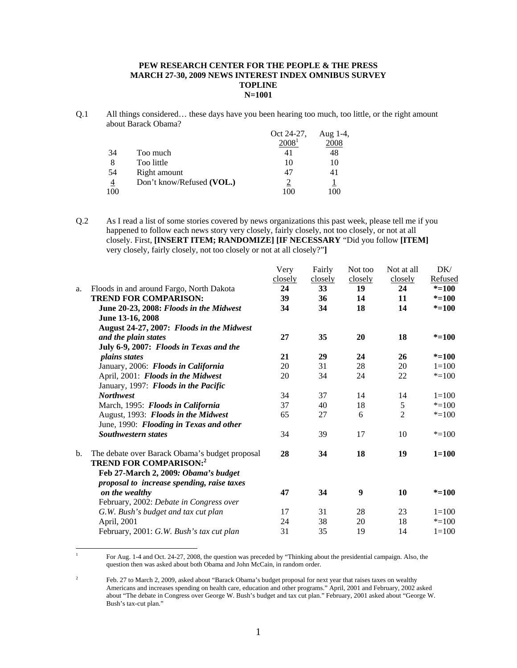### **PEW RESEARCH CENTER FOR THE PEOPLE & THE PRESS MARCH 27-30, 2009 NEWS INTEREST INDEX OMNIBUS SURVEY TOPLINE N=1001**

Q.1 All things considered… these days have you been hearing too much, too little, or the right amount about Barack Obama?

|                |                           | Oct 24-27,        | Aug $1-4$ , |
|----------------|---------------------------|-------------------|-------------|
|                |                           | 2008 <sup>1</sup> | 2008        |
| 34             | Too much                  | 41                | 48          |
| 8              | Too little                | 10                | 10          |
| 54             | Right amount              | 47                | 41          |
| $\overline{4}$ | Don't know/Refused (VOL.) |                   |             |
| 100            |                           | 100               | 100         |

Q.2 As I read a list of some stories covered by news organizations this past week, please tell me if you happened to follow each news story very closely, fairly closely, not too closely, or not at all closely. First, **[INSERT ITEM; RANDOMIZE] [IF NECESSARY** "Did you follow **[ITEM]**  very closely, fairly closely, not too closely or not at all closely?"**]**

| a. | Floods in and around Fargo, North Dakota<br><b>TREND FOR COMPARISON:</b><br>June 20-23, 2008: Floods in the Midwest<br>June 13-16, 2008 | Very<br>closely<br>24<br>39<br>34 | Fairly<br>closely<br>33<br>36<br>34 | Not too<br>closely<br>19<br>14<br>18 | Not at all<br>closely<br>24<br>11<br>14 | DK/<br>Refused<br>$* = 100$<br>$* = 100$<br>$* = 100$ |
|----|-----------------------------------------------------------------------------------------------------------------------------------------|-----------------------------------|-------------------------------------|--------------------------------------|-----------------------------------------|-------------------------------------------------------|
|    | August 24-27, 2007: Floods in the Midwest                                                                                               |                                   |                                     |                                      |                                         |                                                       |
|    | and the plain states                                                                                                                    | 27                                | 35                                  | 20                                   | 18                                      | $* = 100$                                             |
|    | July 6-9, 2007: Floods in Texas and the                                                                                                 |                                   |                                     |                                      |                                         |                                                       |
|    | <i>plains states</i>                                                                                                                    | 21                                | 29                                  | 24                                   | 26                                      | $* = 100$                                             |
|    | January, 2006: Floods in California                                                                                                     | 20                                | 31                                  | 28                                   | 20                                      | $1 = 100$                                             |
|    | April, 2001: Floods in the Midwest                                                                                                      | 20                                | 34                                  | 24                                   | 22                                      | $* = 100$                                             |
|    | January, 1997: Floods in the Pacific                                                                                                    |                                   |                                     |                                      |                                         |                                                       |
|    | <b>Northwest</b>                                                                                                                        | 34                                | 37                                  | 14                                   | 14                                      | $1 = 100$                                             |
|    | March, 1995: Floods in California                                                                                                       | 37                                | 40                                  | 18                                   | 5                                       | $* = 100$                                             |
|    | August, 1993: Floods in the Midwest                                                                                                     | 65                                | 27                                  | 6                                    | $\overline{2}$                          | $* = 100$                                             |
|    | June, 1990: Flooding in Texas and other                                                                                                 |                                   |                                     |                                      |                                         |                                                       |
|    | <b>Southwestern states</b>                                                                                                              | 34                                | 39                                  | 17                                   | 10                                      | $* = 100$                                             |
| b. | The debate over Barack Obama's budget proposal<br><b>TREND FOR COMPARISON:2</b>                                                         | 28                                | 34                                  | 18                                   | 19                                      | $1 = 100$                                             |
|    | Feb 27-March 2, 2009: Obama's budget                                                                                                    |                                   |                                     |                                      |                                         |                                                       |
|    | proposal to increase spending, raise taxes                                                                                              |                                   |                                     |                                      |                                         |                                                       |
|    | on the wealthy                                                                                                                          | 47                                | 34                                  | 9                                    | 10                                      | $* = 100$                                             |
|    | February, 2002: Debate in Congress over                                                                                                 |                                   |                                     |                                      |                                         |                                                       |
|    | G.W. Bush's budget and tax cut plan                                                                                                     | 17                                | 31                                  | 28                                   | 23                                      | $1 = 100$                                             |
|    | April, 2001                                                                                                                             | 24                                | 38                                  | 20                                   | 18                                      | $* = 100$                                             |
|    | February, 2001: G.W. Bush's tax cut plan                                                                                                | 31                                | 35                                  | 19                                   | 14                                      | $1 = 100$                                             |

 For Aug. 1-4 and Oct. 24-27, 2008, the question was preceded by "Thinking about the presidential campaign. Also, the question then was asked about both Obama and John McCain, in random order.

 $\frac{1}{1}$ 

<sup>2</sup> Feb. 27 to March 2, 2009, asked about "Barack Obama's budget proposal for next year that raises taxes on wealthy Americans and increases spending on health care, education and other programs." April, 2001 and February, 2002 asked about "The debate in Congress over George W. Bush's budget and tax cut plan." February, 2001 asked about "George W. Bush's tax-cut plan."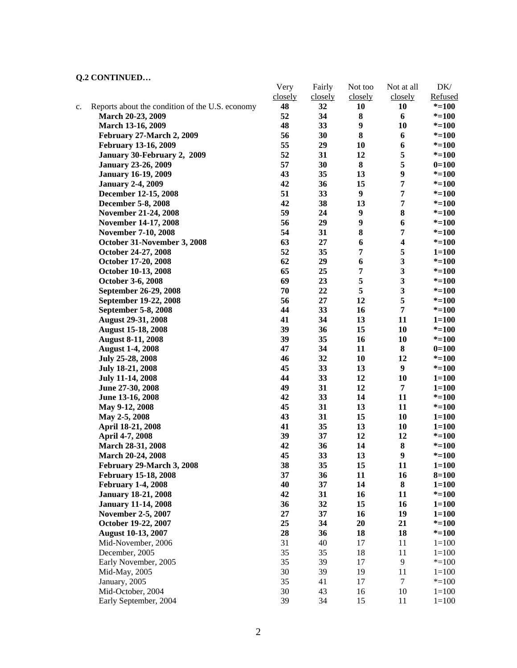## **Q.2 CONTINUED…**

|    |                                                 | Very    | Fairly  | Not too          | Not at all              | DK/       |
|----|-------------------------------------------------|---------|---------|------------------|-------------------------|-----------|
|    |                                                 | closely | closely | closely          | closely                 | Refused   |
| c. | Reports about the condition of the U.S. economy | 48      | 32      | 10               | 10                      | $* = 100$ |
|    | March 20-23, 2009                               | 52      | 34      | 8                | 6                       | $* = 100$ |
|    | March 13-16, 2009                               | 48      | 33      | 9                | 10                      | $* = 100$ |
|    | February 27-March 2, 2009                       | 56      | 30      | 8                | 6                       | $* = 100$ |
|    | <b>February 13-16, 2009</b>                     | 55      | 29      | 10               | 6                       | $* = 100$ |
|    | January 30-February 2, 2009                     | 52      | 31      | 12               | 5                       | $* = 100$ |
|    | <b>January 23-26, 2009</b>                      | 57      | 30      | 8                | 5                       | $0=100$   |
|    | <b>January 16-19, 2009</b>                      | 43      | 35      | 13               | $\boldsymbol{9}$        | $* = 100$ |
|    | <b>January 2-4, 2009</b>                        | 42      | 36      | 15               | 7                       | $* = 100$ |
|    | December 12-15, 2008                            | 51      | 33      | $\boldsymbol{9}$ | 7                       | $* = 100$ |
|    | December 5-8, 2008                              | 42      | 38      | 13               | 7                       | $* = 100$ |
|    | <b>November 21-24, 2008</b>                     | 59      | 24      | $\boldsymbol{9}$ | 8                       | $* = 100$ |
|    | November 14-17, 2008                            | 56      | 29      | $\boldsymbol{9}$ | 6                       | $* = 100$ |
|    | <b>November 7-10, 2008</b>                      | 54      | 31      | 8                | 7                       | $* = 100$ |
|    | October 31-November 3, 2008                     | 63      | 27      | 6                | $\boldsymbol{4}$        | $* = 100$ |
|    | October 24-27, 2008                             | 52      | 35      | $\overline{7}$   | 5                       | $1 = 100$ |
|    | October 17-20, 2008                             | 62      | 29      | 6                | 3                       | $* = 100$ |
|    | October 10-13, 2008                             | 65      | 25      | $\pmb{7}$        | $\overline{\mathbf{3}}$ | $* = 100$ |
|    | October 3-6, 2008                               | 69      | 23      | 5                | $\overline{\mathbf{3}}$ | $* = 100$ |
|    | September 26-29, 2008                           | 70      | 22      | 5                | $\mathbf{3}$            | $* = 100$ |
|    | September 19-22, 2008                           | 56      | 27      | 12               | 5                       | $* = 100$ |
|    | September 5-8, 2008                             | 44      | 33      | 16               | $\overline{7}$          | $* = 100$ |
|    | <b>August 29-31, 2008</b>                       | 41      | 34      | 13               | 11                      | $1 = 100$ |
|    | <b>August 15-18, 2008</b>                       | 39      | 36      | 15               | 10                      | $* = 100$ |
|    | <b>August 8-11, 2008</b>                        | 39      | 35      | 16               | 10                      | $* = 100$ |
|    | <b>August 1-4, 2008</b>                         | 47      | 34      | 11               | 8                       | $0=100$   |
|    | July 25-28, 2008                                | 46      | 32      | 10               | 12                      | $* = 100$ |
|    | <b>July 18-21, 2008</b>                         | 45      | 33      | 13               | 9                       | $* = 100$ |
|    | <b>July 11-14, 2008</b>                         | 44      | 33      | 12               | 10                      | $1 = 100$ |
|    | June 27-30, 2008                                | 49      | 31      | 12               | $\overline{7}$          | $1 = 100$ |
|    | June 13-16, 2008                                | 42      | 33      | 14               | 11                      | $* = 100$ |
|    | May 9-12, 2008                                  | 45      | 31      | 13               | 11                      | $* = 100$ |
|    | May 2-5, 2008                                   | 43      | 31      | 15               | 10                      | $1 = 100$ |
|    | April 18-21, 2008                               | 41      | 35      | 13               | 10                      | $1 = 100$ |
|    | April 4-7, 2008                                 | 39      | 37      | 12               | 12                      | $* = 100$ |
|    | March 28-31, 2008                               | 42      | 36      | 14               | 8                       | $* = 100$ |
|    | March 20-24, 2008                               | 45      | 33      | 13               | 9                       | $* = 100$ |
|    | February 29-March 3, 2008                       | 38      | 35      | 15               | 11                      | $1 = 100$ |
|    | <b>February 15-18, 2008</b>                     | 37      | 36      | 11               | 16                      | $8 = 100$ |
|    | <b>February 1-4, 2008</b>                       | 40      | 37      | 14               | 8                       | $1 = 100$ |
|    | <b>January 18-21, 2008</b>                      | 42      | 31      | 16               | 11                      | $* = 100$ |
|    | <b>January 11-14, 2008</b>                      | 36      | 32      | 15               | 16                      | $1 = 100$ |
|    | <b>November 2-5, 2007</b>                       | $27\,$  | 37      | 16               | 19                      | $1 = 100$ |
|    | October 19-22, 2007                             | 25      | 34      | 20               | 21                      | $* = 100$ |
|    | <b>August 10-13, 2007</b>                       | 28      | 36      | 18               | 18                      | $* = 100$ |
|    | Mid-November, 2006                              | 31      | 40      | 17               | 11                      | $1 = 100$ |
|    | December, 2005                                  | 35      | 35      | 18               | 11                      | $1 = 100$ |
|    | Early November, 2005                            | 35      | 39      | 17               | 9                       | $* = 100$ |
|    | Mid-May, 2005                                   | 30      | 39      | 19               | 11                      | $1 = 100$ |
|    | January, 2005                                   | 35      | 41      | 17               | $\tau$                  | $* = 100$ |
|    | Mid-October, 2004                               | 30      | 43      | 16               | 10                      | $1 = 100$ |
|    | Early September, 2004                           | 39      | 34      | 15               | 11                      | $1 = 100$ |
|    |                                                 |         |         |                  |                         |           |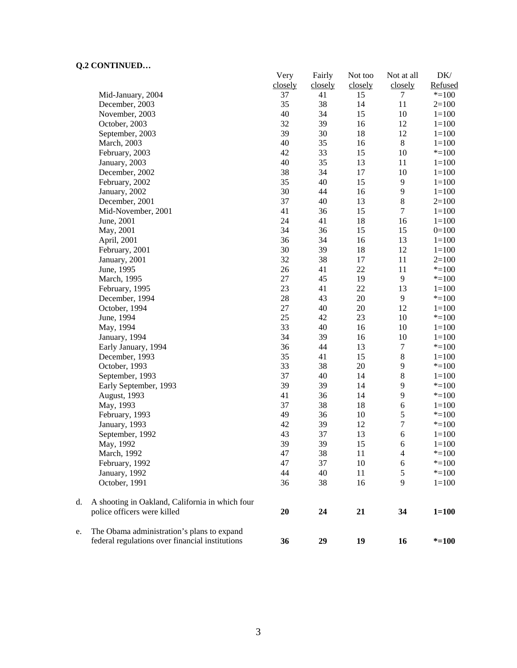# **Q.2 CONTINUED…**

|    | CONTROLLOW                                      | Very<br>closely | Fairly<br>closely | Not too<br>closely | Not at all<br>closely | DK/<br>Refused |
|----|-------------------------------------------------|-----------------|-------------------|--------------------|-----------------------|----------------|
|    | Mid-January, 2004                               | 37              | 41                | 15                 | 7                     | $* = 100$      |
|    | December, 2003                                  | 35              | 38                | 14                 | 11                    | $2=100$        |
|    | November, 2003                                  | 40              | 34                | 15                 | 10                    | $1 = 100$      |
|    | October, 2003                                   | 32              | 39                | 16                 | 12                    | $1 = 100$      |
|    | September, 2003                                 | 39              | 30                | 18                 | 12                    | $1 = 100$      |
|    | March, 2003                                     | 40              | 35                | 16                 | $\,8\,$               | $1 = 100$      |
|    | February, 2003                                  | 42              | 33                | 15                 | 10                    | $* = 100$      |
|    | January, 2003                                   | 40              | 35                | 13                 | 11                    | $1 = 100$      |
|    | December, 2002                                  | 38              | 34                | 17                 | 10                    | $1 = 100$      |
|    | February, 2002                                  | 35              | 40                | 15                 | 9                     | $1 = 100$      |
|    | January, 2002                                   | 30              | 44                | 16                 | $\overline{9}$        | $1 = 100$      |
|    | December, 2001                                  | 37              | 40                | 13                 | $\,8\,$               | $2=100$        |
|    | Mid-November, 2001                              | 41              | 36                | 15                 | $\tau$                | $1 = 100$      |
|    | June, 2001                                      | 24              | 41                | 18                 | 16                    | $1 = 100$      |
|    | May, 2001                                       | 34              | 36                | 15                 | 15                    | $0=100$        |
|    | April, 2001                                     | 36              | 34                | 16                 | 13                    | $1 = 100$      |
|    | February, 2001                                  | 30              | 39                | 18                 | 12                    | $1 = 100$      |
|    | January, 2001                                   | 32              | 38                | 17                 | 11                    | $2=100$        |
|    | June, 1995                                      | 26              | 41                | 22                 | 11                    | $* = 100$      |
|    | March, 1995                                     | 27              | 45                | 19                 | $\overline{9}$        | $* = 100$      |
|    | February, 1995                                  | 23              | 41                | 22                 | 13                    | $1 = 100$      |
|    | December, 1994                                  | 28              | 43                | 20                 | $\overline{9}$        | $* = 100$      |
|    | October, 1994                                   | 27              | 40                | 20                 | 12                    | $1 = 100$      |
|    | June, 1994                                      | 25              | 42                | 23                 | 10                    | $*=100$        |
|    | May, 1994                                       | 33              | 40                | 16                 | 10                    | $1 = 100$      |
|    | January, 1994                                   | 34              | 39                | 16                 | 10                    | $1 = 100$      |
|    | Early January, 1994                             | 36              | 44                | 13                 | $\tau$                | $* = 100$      |
|    | December, 1993                                  | 35              | 41                | 15                 | $\,8\,$               | $1 = 100$      |
|    | October, 1993                                   | 33              | 38                | $20\,$             | $\mathbf{9}$          | $* = 100$      |
|    | September, 1993                                 | 37              | 40                | 14                 | $\,8\,$               | $1 = 100$      |
|    | Early September, 1993                           | 39              | 39                | 14                 | 9                     | $* = 100$      |
|    | August, 1993                                    | 41              | 36                | 14                 | 9                     | $* = 100$      |
|    | May, 1993                                       | 37              | 38                | 18                 | $\sqrt{6}$            | $1 = 100$      |
|    | February, 1993                                  | 49              | 36                | 10                 | $\sqrt{5}$            | $* = 100$      |
|    | January, 1993                                   | 42              | 39                | 12                 | $\overline{7}$        | $* = 100$      |
|    | September, 1992                                 | 43              | 37                | 13                 | 6                     | $1 = 100$      |
|    | May, 1992                                       | 39              | 39                | 15                 | 6                     | $1 = 100$      |
|    | March, 1992                                     | 47              | 38                | 11                 | $\overline{4}$        | $* = 100$      |
|    | February, 1992                                  | 47              | 37                | 10                 | 6                     | $* = 100$      |
|    | January, 1992                                   | 44              | 40                | 11                 | 5                     | $* = 100$      |
|    | October, 1991                                   | 36              | 38                | 16                 | 9                     | $1 = 100$      |
| d. | A shooting in Oakland, California in which four |                 |                   |                    |                       |                |
|    | police officers were killed                     | 20              | 24                | 21                 | 34                    | $1 = 100$      |
| e. | The Obama administration's plans to expand      |                 |                   |                    |                       |                |
|    | federal regulations over financial institutions | 36              | 29                | 19                 | 16                    | $* = 100$      |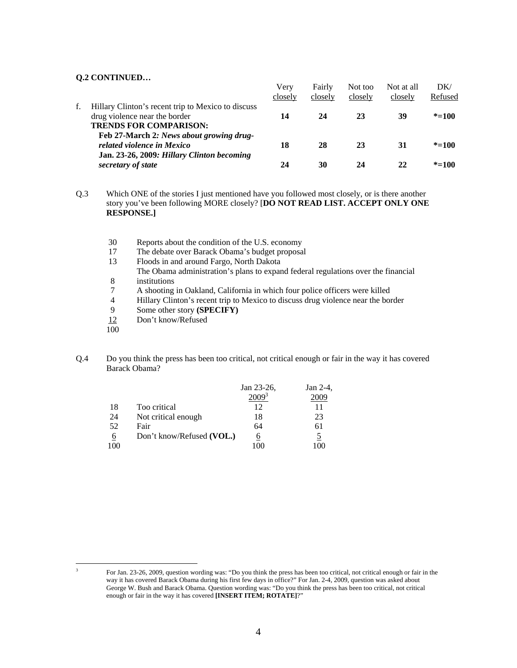### **Q.2 CONTINUED…**

|    |                                                                                                                      | Verv<br>closely | Fairly<br>closely | Not too<br>closely | Not at all<br>closely | DK/<br>Refused |
|----|----------------------------------------------------------------------------------------------------------------------|-----------------|-------------------|--------------------|-----------------------|----------------|
| f. | Hillary Clinton's recent trip to Mexico to discuss<br>drug violence near the border<br><b>TRENDS FOR COMPARISON:</b> | 14              | 24                | 23                 | 39                    | $* = 100$      |
|    | Feb 27-March 2: News about growing drug-<br>related violence in Mexico<br>Jan. 23-26, 2009: Hillary Clinton becoming | 18              | 28                | 23                 | 31                    | $* = 100$      |
|    | secretary of state                                                                                                   | 24              | 30                | 24                 | 22                    | $* = 100$      |

Q.3 Which ONE of the stories I just mentioned have you followed most closely, or is there another story you've been following MORE closely? [**DO NOT READ LIST. ACCEPT ONLY ONE RESPONSE.]** 

- 30 Reports about the condition of the U.S. economy
- 17 The debate over Barack Obama's budget proposal
- 13 Floods in and around Fargo, North Dakota The Obama administration's plans to expand federal regulations over the financial 8 institutions
- 7 A shooting in Oakland, California in which four police officers were killed
- 4 Hillary Clinton's recent trip to Mexico to discuss drug violence near the border
- 9 Some other story **(SPECIFY)**<br>12 Don't know/Refused
- Don't know/Refused
- 100
- Q.4 Do you think the press has been too critical, not critical enough or fair in the way it has covered Barack Obama?

|    |                           | Jan 23-26, | Jan $2-4$ , |
|----|---------------------------|------------|-------------|
|    |                           |            |             |
| 18 | Too critical              | 12         |             |
| 24 | Not critical enough       | 18         | 23          |
| 52 | Fair                      | 64         | 61          |
| 6  | Don't know/Refused (VOL.) | O          |             |
| oc |                           |            | 100         |

 $\overline{\mathbf{3}}$ 

<sup>3</sup> For Jan. 23-26, 2009, question wording was: "Do you think the press has been too critical, not critical enough or fair in the way it has covered Barack Obama during his first few days in office?" For Jan. 2-4, 2009, question was asked about George W. Bush and Barack Obama. Question wording was: "Do you think the press has been too critical, not critical enough or fair in the way it has covered **[INSERT ITEM; ROTATE]**?"